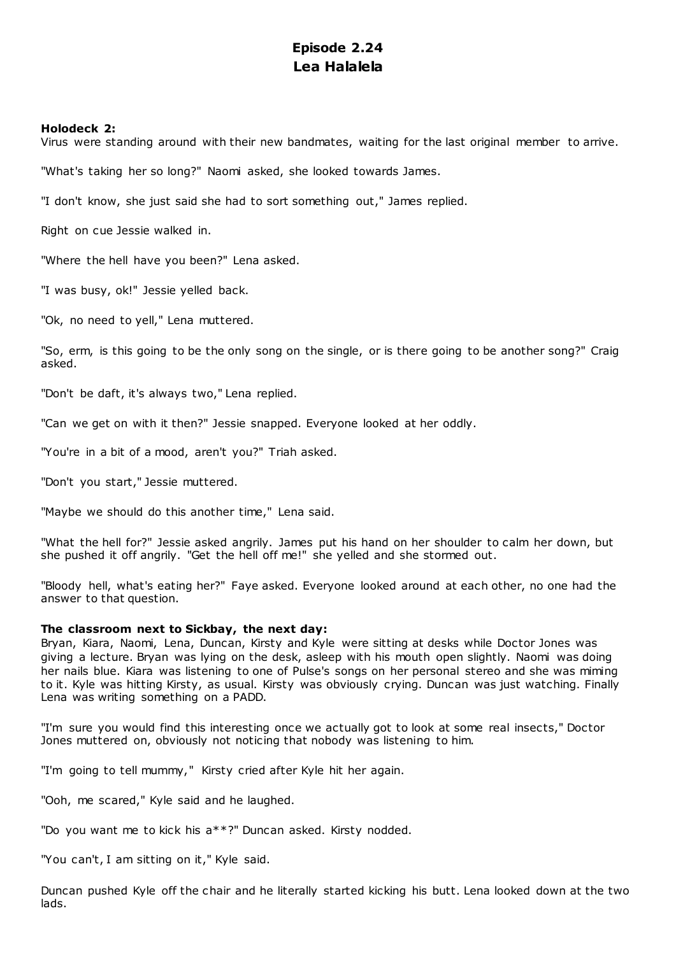# **Episode 2.24 Lea Halalela**

# **Holodeck 2:**

Virus were standing around with their new bandmates, waiting for the last original member to arrive.

"What's taking her so long?" Naomi asked, she looked towards James.

"I don't know, she just said she had to sort something out," James replied.

Right on cue Jessie walked in.

"Where the hell have you been?" Lena asked.

"I was busy, ok!" Jessie yelled back.

"Ok, no need to yell," Lena muttered.

"So, erm, is this going to be the only song on the single, or is there going to be another song?" Craig asked.

"Don't be daft, it's always two," Lena replied.

"Can we get on with it then?" Jessie snapped. Everyone looked at her oddly.

"You're in a bit of a mood, aren't you?" Triah asked.

"Don't you start," Jessie muttered.

"Maybe we should do this another time," Lena said.

"What the hell for?" Jessie asked angrily. James put his hand on her shoulder to calm her down, but she pushed it off angrily. "Get the hell off me!" she yelled and she stormed out.

"Bloody hell, what's eating her?" Faye asked. Everyone looked around at each other, no one had the answer to that question.

# **The classroom next to Sickbay, the next day:**

Bryan, Kiara, Naomi, Lena, Duncan, Kirsty and Kyle were sitting at desks while Doctor Jones was giving a lecture. Bryan was lying on the desk, asleep with his mouth open slightly. Naomi was doing her nails blue. Kiara was listening to one of Pulse's songs on her personal stereo and she was miming to it. Kyle was hitting Kirsty, as usual. Kirsty was obviously crying. Duncan was just watching. Finally Lena was writing something on a PADD.

"I'm sure you would find this interesting once we actually got to look at some real insects," Doctor Jones muttered on, obviously not noticing that nobody was listening to him.

"I'm going to tell mummy," Kirsty cried after Kyle hit her again.

"Ooh, me scared," Kyle said and he laughed.

"Do you want me to kick his a\*\*?" Duncan asked. Kirsty nodded.

"You can't, I am sitting on it," Kyle said.

Duncan pushed Kyle off the chair and he literally started kicking his butt. Lena looked down at the two lads.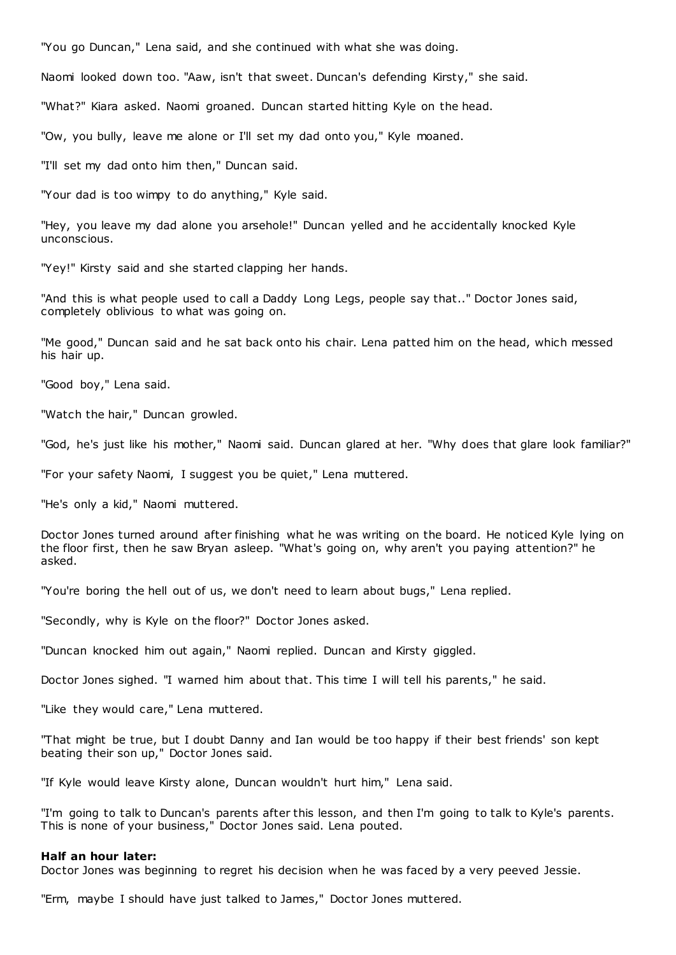"You go Duncan," Lena said, and she continued with what she was doing.

Naomi looked down too. "Aaw, isn't that sweet. Duncan's defending Kirsty," she said.

"What?" Kiara asked. Naomi groaned. Duncan started hitting Kyle on the head.

"Ow, you bully, leave me alone or I'll set my dad onto you," Kyle moaned.

"I'll set my dad onto him then," Duncan said.

"Your dad is too wimpy to do anything," Kyle said.

"Hey, you leave my dad alone you arsehole!" Duncan yelled and he accidentally knocked Kyle unconscious.

"Yey!" Kirsty said and she started clapping her hands.

"And this is what people used to call a Daddy Long Legs, people say that.." Doctor Jones said, completely oblivious to what was going on.

"Me good," Duncan said and he sat back onto his chair. Lena patted him on the head, which messed his hair up.

"Good boy," Lena said.

"Watch the hair," Duncan growled.

"God, he's just like his mother," Naomi said. Duncan glared at her. "Why does that glare look familiar?"

"For your safety Naomi, I suggest you be quiet," Lena muttered.

"He's only a kid," Naomi muttered.

Doctor Jones turned around after finishing what he was writing on the board. He noticed Kyle lying on the floor first, then he saw Bryan asleep. "What's going on, why aren't you paying attention?" he asked.

"You're boring the hell out of us, we don't need to learn about bugs," Lena replied.

"Secondly, why is Kyle on the floor?" Doctor Jones asked.

"Duncan knocked him out again," Naomi replied. Duncan and Kirsty giggled.

Doctor Jones sighed. "I warned him about that. This time I will tell his parents," he said.

"Like they would care," Lena muttered.

"That might be true, but I doubt Danny and Ian would be too happy if their best friends' son kept beating their son up," Doctor Jones said.

"If Kyle would leave Kirsty alone, Duncan wouldn't hurt him," Lena said.

"I'm going to talk to Duncan's parents after this lesson, and then I'm going to talk to Kyle's parents. This is none of your business," Doctor Jones said. Lena pouted.

## **Half an hour later:**

Doctor Jones was beginning to regret his decision when he was faced by a very peeved Jessie.

"Erm, maybe I should have just talked to James," Doctor Jones muttered.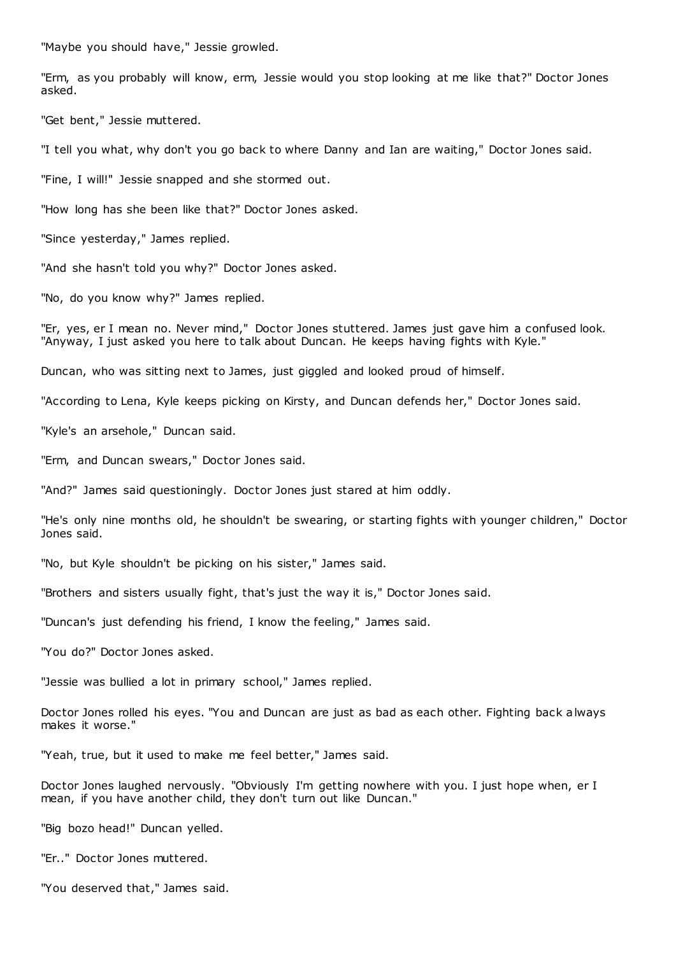"Maybe you should have," Jessie growled.

"Erm, as you probably will know, erm, Jessie would you stop looking at me like that?" Doctor Jones asked.

"Get bent," Jessie muttered.

"I tell you what, why don't you go back to where Danny and Ian are waiting," Doctor Jones said.

"Fine, I will!" Jessie snapped and she stormed out.

"How long has she been like that?" Doctor Jones asked.

"Since yesterday," James replied.

"And she hasn't told you why?" Doctor Jones asked.

"No, do you know why?" James replied.

"Er, yes, er I mean no. Never mind," Doctor Jones stuttered. James just gave him a confused look. "Anyway, I just asked you here to talk about Duncan. He keeps having fights with Kyle."

Duncan, who was sitting next to James, just giggled and looked proud of himself.

"According to Lena, Kyle keeps picking on Kirsty, and Duncan defends her," Doctor Jones said.

"Kyle's an arsehole," Duncan said.

"Erm, and Duncan swears," Doctor Jones said.

"And?" James said questioningly. Doctor Jones just stared at him oddly.

"He's only nine months old, he shouldn't be swearing, or starting fights with younger children," Doctor Jones said.

"No, but Kyle shouldn't be picking on his sister," James said.

"Brothers and sisters usually fight, that's just the way it is," Doctor Jones said.

"Duncan's just defending his friend, I know the feeling," James said.

"You do?" Doctor Jones asked.

"Jessie was bullied a lot in primary school," James replied.

Doctor Jones rolled his eyes. "You and Duncan are just as bad as each other. Fighting back always makes it worse."

"Yeah, true, but it used to make me feel better," James said.

Doctor Jones laughed nervously. "Obviously I'm getting nowhere with you. I just hope when, er I mean, if you have another child, they don't turn out like Duncan."

"Big bozo head!" Duncan yelled.

"Er.." Doctor Jones muttered.

"You deserved that," James said.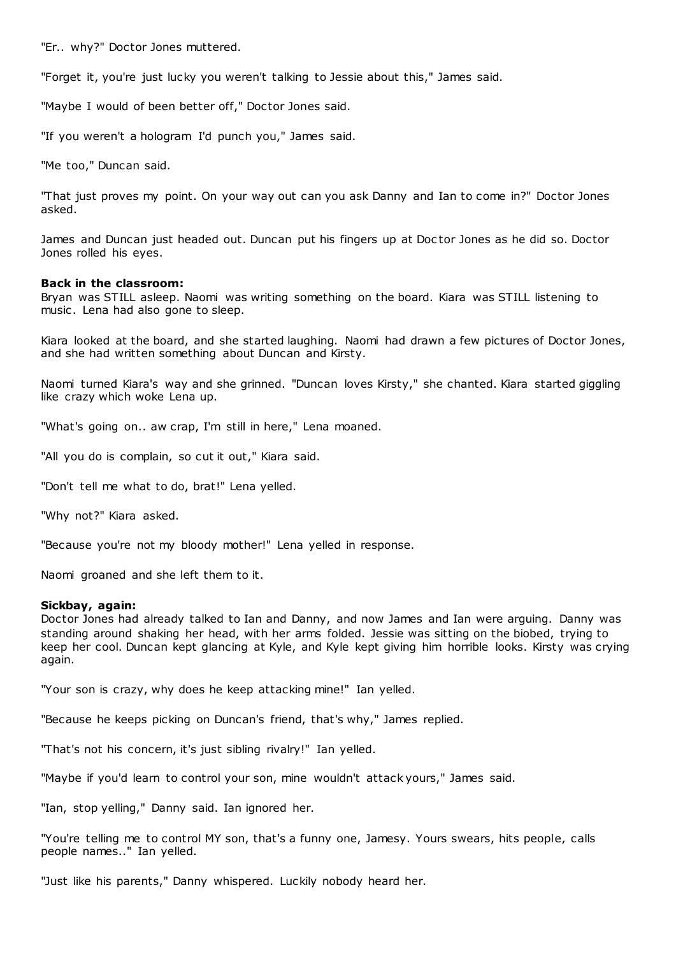"Er.. why?" Doctor Jones muttered.

"Forget it, you're just lucky you weren't talking to Jessie about this," James said.

"Maybe I would of been better off," Doctor Jones said.

"If you weren't a hologram I'd punch you," James said.

"Me too," Duncan said.

"That just proves my point. On your way out can you ask Danny and Ian to come in?" Doctor Jones asked.

James and Duncan just headed out. Duncan put his fingers up at Doc tor Jones as he did so. Doctor Jones rolled his eyes.

## **Back in the classroom:**

Bryan was STILL asleep. Naomi was writing something on the board. Kiara was STILL listening to music. Lena had also gone to sleep.

Kiara looked at the board, and she started laughing. Naomi had drawn a few pictures of Doctor Jones, and she had written something about Duncan and Kirsty.

Naomi turned Kiara's way and she grinned. "Duncan loves Kirsty," she chanted. Kiara started giggling like crazy which woke Lena up.

"What's going on.. aw crap, I'm still in here," Lena moaned.

"All you do is complain, so cut it out," Kiara said.

"Don't tell me what to do, brat!" Lena yelled.

"Why not?" Kiara asked.

"Because you're not my bloody mother!" Lena yelled in response.

Naomi groaned and she left them to it.

## **Sickbay, again:**

Doctor Jones had already talked to Ian and Danny, and now James and Ian were arguing. Danny was standing around shaking her head, with her arms folded. Jessie was sitting on the biobed, trying to keep her cool. Duncan kept glancing at Kyle, and Kyle kept giving him horrible looks. Kirsty was crying again.

"Your son is crazy, why does he keep attacking mine!" Ian yelled.

"Because he keeps picking on Duncan's friend, that's why," James replied.

"That's not his concern, it's just sibling rivalry!" Ian yelled.

"Maybe if you'd learn to control your son, mine wouldn't attack yours," James said.

"Ian, stop yelling," Danny said. Ian ignored her.

"You're telling me to control MY son, that's a funny one, Jamesy. Yours swears, hits people, calls people names.." Ian yelled.

"Just like his parents," Danny whispered. Luckily nobody heard her.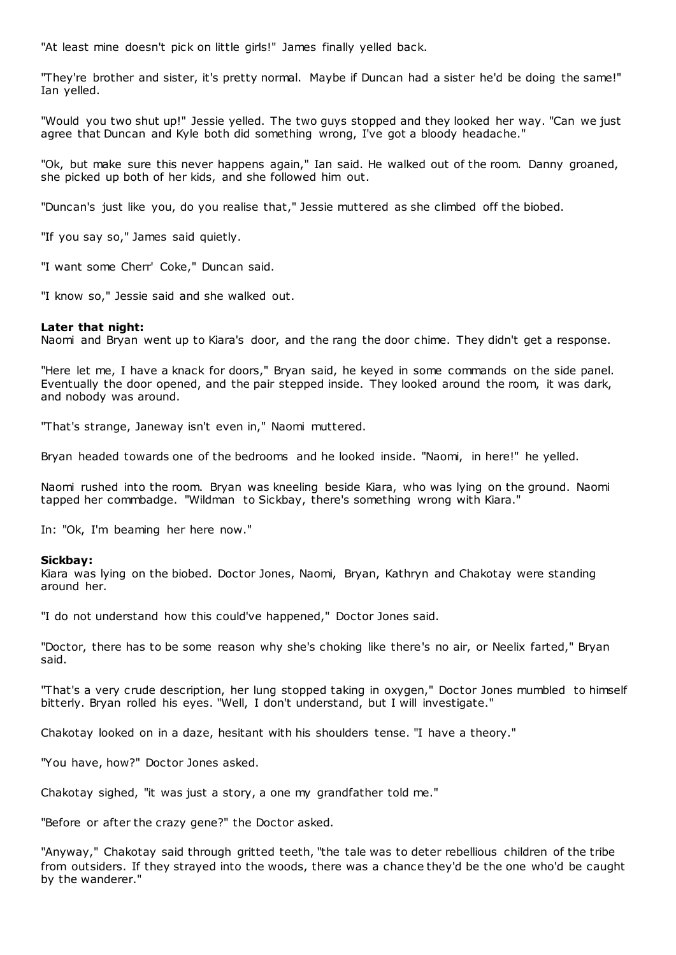"At least mine doesn't pick on little girls!" James finally yelled back.

"They're brother and sister, it's pretty normal. Maybe if Duncan had a sister he'd be doing the same!" Ian yelled.

"Would you two shut up!" Jessie yelled. The two guys stopped and they looked her way. "Can we just agree that Duncan and Kyle both did something wrong, I've got a bloody headache."

"Ok, but make sure this never happens again," Ian said. He walked out of the room. Danny groaned, she picked up both of her kids, and she followed him out.

"Duncan's just like you, do you realise that," Jessie muttered as she climbed off the biobed.

"If you say so," James said quietly.

"I want some Cherr' Coke," Duncan said.

"I know so," Jessie said and she walked out.

# **Later that night:**

Naomi and Bryan went up to Kiara's door, and the rang the door chime. They didn't get a response.

"Here let me, I have a knack for doors," Bryan said, he keyed in some commands on the side panel. Eventually the door opened, and the pair stepped inside. They looked around the room, it was dark, and nobody was around.

"That's strange, Janeway isn't even in," Naomi muttered.

Bryan headed towards one of the bedrooms and he looked inside. "Naomi, in here!" he yelled.

Naomi rushed into the room. Bryan was kneeling beside Kiara, who was lying on the ground. Naomi tapped her commbadge. "Wildman to Sickbay, there's something wrong with Kiara."

In: "Ok, I'm beaming her here now."

# **Sickbay:**

Kiara was lying on the biobed. Doctor Jones, Naomi, Bryan, Kathryn and Chakotay were standing around her.

"I do not understand how this could've happened," Doctor Jones said.

"Doctor, there has to be some reason why she's choking like there's no air, or Neelix farted," Bryan said.

"That's a very crude description, her lung stopped taking in oxygen," Doctor Jones mumbled to himself bitterly. Bryan rolled his eyes. "Well, I don't understand, but I will investigate."

Chakotay looked on in a daze, hesitant with his shoulders tense. "I have a theory."

"You have, how?" Doctor Jones asked.

Chakotay sighed, "it was just a story, a one my grandfather told me."

"Before or after the crazy gene?" the Doctor asked.

"Anyway," Chakotay said through gritted teeth, "the tale was to deter rebellious children of the tribe from outsiders. If they strayed into the woods, there was a chance they'd be the one who'd be caught by the wanderer."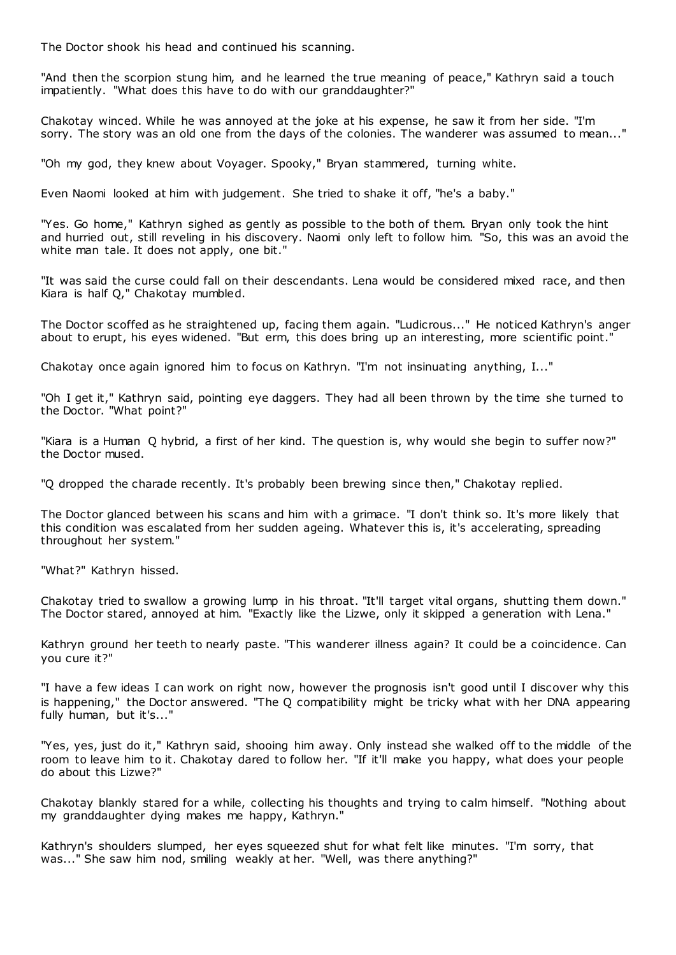The Doctor shook his head and continued his scanning.

"And then the scorpion stung him, and he learned the true meaning of peace," Kathryn said a touch impatiently. "What does this have to do with our granddaughter?"

Chakotay winced. While he was annoyed at the joke at his expense, he saw it from her side. "I'm sorry. The story was an old one from the days of the colonies. The wanderer was assumed to mean..."

"Oh my god, they knew about Voyager. Spooky," Bryan stammered, turning white.

Even Naomi looked at him with judgement. She tried to shake it off, "he's a baby."

"Yes. Go home," Kathryn sighed as gently as possible to the both of them. Bryan only took the hint and hurried out, still reveling in his discovery. Naomi only left to follow him. "So, this was an avoid the white man tale. It does not apply, one bit."

"It was said the curse could fall on their descendants. Lena would be considered mixed race, and then Kiara is half Q," Chakotay mumbled.

The Doctor scoffed as he straightened up, facing them again. "Ludicrous..." He noticed Kathryn's anger about to erupt, his eyes widened. "But erm, this does bring up an interesting, more scientific point."

Chakotay once again ignored him to focus on Kathryn. "I'm not insinuating anything, I..."

"Oh I get it," Kathryn said, pointing eye daggers. They had all been thrown by the time she turned to the Doctor. "What point?"

"Kiara is a Human Q hybrid, a first of her kind. The question is, why would she begin to suffer now?" the Doctor mused.

"Q dropped the charade recently. It's probably been brewing since then," Chakotay replied.

The Doctor glanced between his scans and him with a grimace. "I don't think so. It's more likely that this condition was escalated from her sudden ageing. Whatever this is, it's accelerating, spreading throughout her system."

"What?" Kathryn hissed.

Chakotay tried to swallow a growing lump in his throat. "It'll target vital organs, shutting them down." The Doctor stared, annoyed at him. "Exactly like the Lizwe, only it skipped a generation with Lena."

Kathryn ground her teeth to nearly paste. "This wanderer illness again? It could be a coincidence. Can you cure it?"

"I have a few ideas I can work on right now, however the prognosis isn't good until I discover why this is happening," the Doctor answered. "The Q compatibility might be tricky what with her DNA appearing fully human, but it's..."

"Yes, yes, just do it," Kathryn said, shooing him away. Only instead she walked off to the middle of the room to leave him to it. Chakotay dared to follow her. "If it'll make you happy, what does your people do about this Lizwe?"

Chakotay blankly stared for a while, collecting his thoughts and trying to calm himself. "Nothing about my granddaughter dying makes me happy, Kathryn."

Kathryn's shoulders slumped, her eyes squeezed shut for what felt like minutes. "I'm sorry, that was..." She saw him nod, smiling weakly at her. "Well, was there anything?"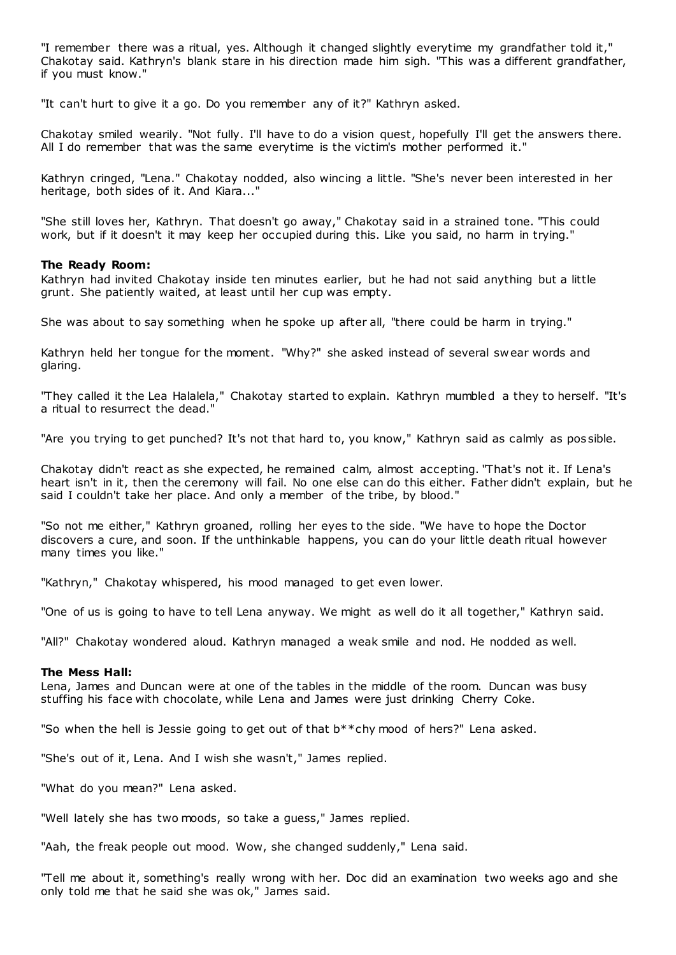"I remember there was a ritual, yes. Although it changed slightly everytime my grandfather told it," Chakotay said. Kathryn's blank stare in his direction made him sigh. "This was a different grandfather, if you must know."

"It can't hurt to give it a go. Do you remember any of it?" Kathryn asked.

Chakotay smiled wearily. "Not fully. I'll have to do a vision quest, hopefully I'll get the answers there. All I do remember that was the same everytime is the victim's mother performed it."

Kathryn cringed, "Lena." Chakotay nodded, also wincing a little. "She's never been interested in her heritage, both sides of it. And Kiara..."

"She still loves her, Kathryn. That doesn't go away," Chakotay said in a strained tone. "This could work, but if it doesn't it may keep her occupied during this. Like you said, no harm in trying."

## **The Ready Room:**

Kathryn had invited Chakotay inside ten minutes earlier, but he had not said anything but a little grunt. She patiently waited, at least until her cup was empty.

She was about to say something when he spoke up after all, "there could be harm in trying."

Kathryn held her tongue for the moment. "Why?" she asked instead of several swear words and glaring.

"They called it the Lea Halalela," Chakotay started to explain. Kathryn mumbled a they to herself. "It's a ritual to resurrect the dead."

"Are you trying to get punched? It's not that hard to, you know," Kathryn said as calmly as pos sible.

Chakotay didn't react as she expected, he remained calm, almost accepting. "That's not it. If Lena's heart isn't in it, then the ceremony will fail. No one else can do this either. Father didn't explain, but he said I couldn't take her place. And only a member of the tribe, by blood."

"So not me either," Kathryn groaned, rolling her eyes to the side. "We have to hope the Doctor discovers a cure, and soon. If the unthinkable happens, you can do your little death ritual however many times you like."

"Kathryn," Chakotay whispered, his mood managed to get even lower.

"One of us is going to have to tell Lena anyway. We might as well do it all together," Kathryn said.

"All?" Chakotay wondered aloud. Kathryn managed a weak smile and nod. He nodded as well.

## **The Mess Hall:**

Lena, James and Duncan were at one of the tables in the middle of the room. Duncan was busy stuffing his face with chocolate, while Lena and James were just drinking Cherry Coke.

"So when the hell is Jessie going to get out of that b\*\*chy mood of hers?" Lena asked.

"She's out of it, Lena. And I wish she wasn't," James replied.

"What do you mean?" Lena asked.

"Well lately she has two moods, so take a guess," James replied.

"Aah, the freak people out mood. Wow, she changed suddenly," Lena said.

"Tell me about it, something's really wrong with her. Doc did an examination two weeks ago and she only told me that he said she was ok," James said.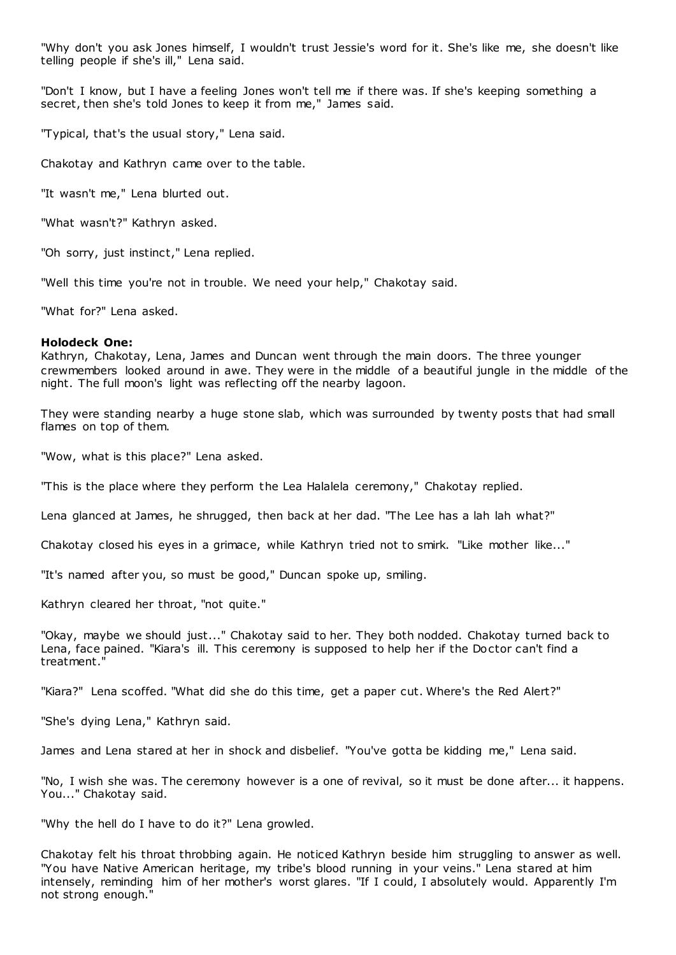"Why don't you ask Jones himself, I wouldn't trust Jessie's word for it. She's like me, she doesn't like telling people if she's ill," Lena said.

"Don't I know, but I have a feeling Jones won't tell me if there was. If she's keeping something a secret, then she's told Jones to keep it from me," James said.

"Typical, that's the usual story," Lena said.

Chakotay and Kathryn came over to the table.

"It wasn't me," Lena blurted out.

"What wasn't?" Kathryn asked.

"Oh sorry, just instinct," Lena replied.

"Well this time you're not in trouble. We need your help," Chakotay said.

"What for?" Lena asked.

## **Holodeck One:**

Kathryn, Chakotay, Lena, James and Duncan went through the main doors. The three younger crewmembers looked around in awe. They were in the middle of a beautiful jungle in the middle of the night. The full moon's light was reflecting off the nearby lagoon.

They were standing nearby a huge stone slab, which was surrounded by twenty posts that had small flames on top of them.

"Wow, what is this place?" Lena asked.

"This is the place where they perform the Lea Halalela ceremony," Chakotay replied.

Lena glanced at James, he shrugged, then back at her dad. "The Lee has a lah lah what?"

Chakotay closed his eyes in a grimace, while Kathryn tried not to smirk. "Like mother like..."

"It's named after you, so must be good," Duncan spoke up, smiling.

Kathryn cleared her throat, "not quite."

"Okay, maybe we should just..." Chakotay said to her. They both nodded. Chakotay turned back to Lena, face pained. "Kiara's ill. This ceremony is supposed to help her if the Doctor can't find a treatment."

"Kiara?" Lena scoffed. "What did she do this time, get a paper cut. Where's the Red Alert?"

"She's dying Lena," Kathryn said.

James and Lena stared at her in shock and disbelief. "You've gotta be kidding me," Lena said.

"No, I wish she was. The ceremony however is a one of revival, so it must be done after... it happens. You..." Chakotay said.

"Why the hell do I have to do it?" Lena growled.

Chakotay felt his throat throbbing again. He noticed Kathryn beside him struggling to answer as well. "You have Native American heritage, my tribe's blood running in your veins." Lena stared at him intensely, reminding him of her mother's worst glares. "If I could, I absolutely would. Apparently I'm not strong enough."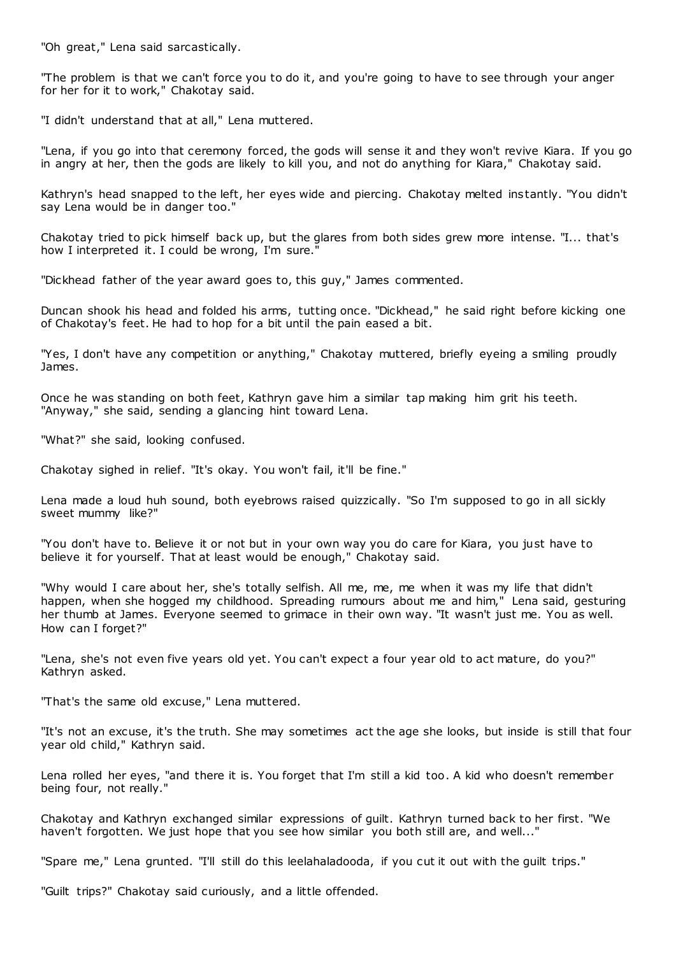"Oh great," Lena said sarcastically.

"The problem is that we can't force you to do it, and you're going to have to see through your anger for her for it to work," Chakotay said.

"I didn't understand that at all," Lena muttered.

"Lena, if you go into that ceremony forced, the gods will sense it and they won't revive Kiara. If you go in angry at her, then the gods are likely to kill you, and not do anything for Kiara," Chakotay said.

Kathryn's head snapped to the left, her eyes wide and piercing. Chakotay melted instantly. "You didn't say Lena would be in danger too."

Chakotay tried to pick himself back up, but the glares from both sides grew more intense. "I... that's how I interpreted it. I could be wrong, I'm sure."

"Dickhead father of the year award goes to, this guy," James commented.

Duncan shook his head and folded his arms, tutting once. "Dickhead," he said right before kicking one of Chakotay's feet. He had to hop for a bit until the pain eased a bit.

"Yes, I don't have any competition or anything," Chakotay muttered, briefly eyeing a smiling proudly James.

Once he was standing on both feet, Kathryn gave him a similar tap making him grit his teeth. "Anyway," she said, sending a glancing hint toward Lena.

"What?" she said, looking confused.

Chakotay sighed in relief. "It's okay. You won't fail, it'll be fine."

Lena made a loud huh sound, both eyebrows raised quizzically. "So I'm supposed to go in all sickly sweet mummy like?"

"You don't have to. Believe it or not but in your own way you do care for Kiara, you just have to believe it for yourself. That at least would be enough," Chakotay said.

"Why would I care about her, she's totally selfish. All me, me, me when it was my life that didn't happen, when she hogged my childhood. Spreading rumours about me and him," Lena said, gesturing her thumb at James. Everyone seemed to grimace in their own way. "It wasn't just me. You as well. How can I forget?"

"Lena, she's not even five years old yet. You can't expect a four year old to act mature, do you?" Kathryn asked.

"That's the same old excuse," Lena muttered.

"It's not an excuse, it's the truth. She may sometimes act the age she looks, but inside is still that four year old child," Kathryn said.

Lena rolled her eyes, "and there it is. You forget that I'm still a kid too. A kid who doesn't remember being four, not really."

Chakotay and Kathryn exchanged similar expressions of guilt. Kathryn turned back to her first. "We haven't forgotten. We just hope that you see how similar you both still are, and well..."

"Spare me," Lena grunted. "I'll still do this leelahaladooda, if you cut it out with the guilt trips."

"Guilt trips?" Chakotay said curiously, and a little offended.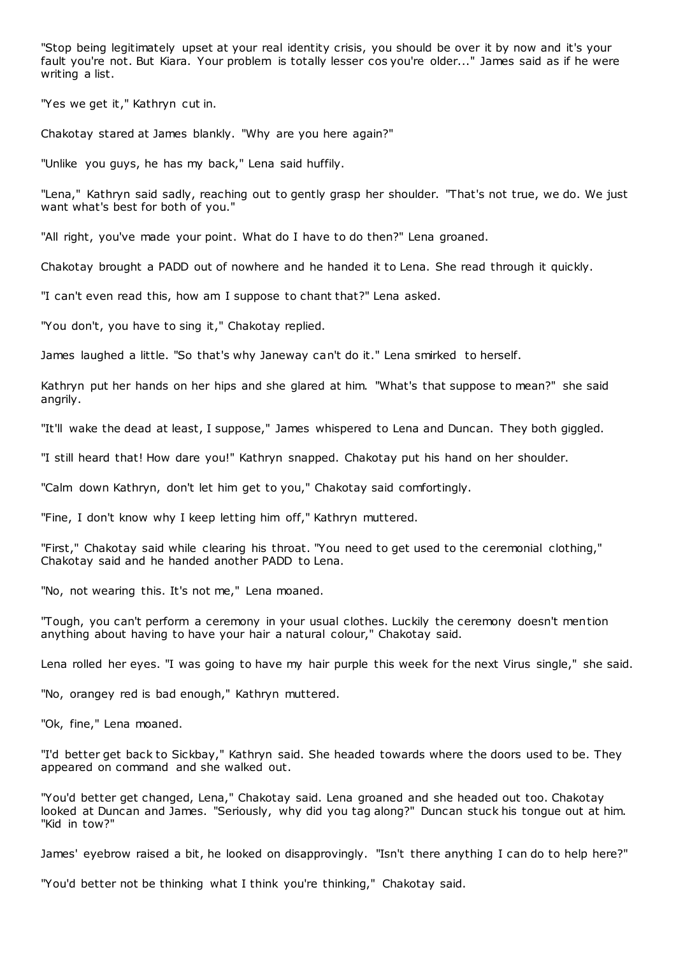"Stop being legitimately upset at your real identity crisis, you should be over it by now and it's your fault you're not. But Kiara. Your problem is totally lesser cos you're older..." James said as if he were writing a list.

"Yes we get it," Kathryn cut in.

Chakotay stared at James blankly. "Why are you here again?"

"Unlike you guys, he has my back," Lena said huffily.

"Lena," Kathryn said sadly, reaching out to gently grasp her shoulder. "That's not true, we do. We just want what's best for both of you."

"All right, you've made your point. What do I have to do then?" Lena groaned.

Chakotay brought a PADD out of nowhere and he handed it to Lena. She read through it quickly.

"I can't even read this, how am I suppose to chant that?" Lena asked.

"You don't, you have to sing it," Chakotay replied.

James laughed a little. "So that's why Janeway can't do it." Lena smirked to herself.

Kathryn put her hands on her hips and she glared at him. "What's that suppose to mean?" she said angrily.

"It'll wake the dead at least, I suppose," James whispered to Lena and Duncan. They both giggled.

"I still heard that! How dare you!" Kathryn snapped. Chakotay put his hand on her shoulder.

"Calm down Kathryn, don't let him get to you," Chakotay said comfortingly.

"Fine, I don't know why I keep letting him off," Kathryn muttered.

"First," Chakotay said while clearing his throat. "You need to get used to the ceremonial clothing," Chakotay said and he handed another PADD to Lena.

"No, not wearing this. It's not me," Lena moaned.

"Tough, you can't perform a ceremony in your usual clothes. Luckily the ceremony doesn't mention anything about having to have your hair a natural colour," Chakotay said.

Lena rolled her eyes. "I was going to have my hair purple this week for the next Virus single," she said.

"No, orangey red is bad enough," Kathryn muttered.

"Ok, fine," Lena moaned.

"I'd better get back to Sickbay," Kathryn said. She headed towards where the doors used to be. They appeared on command and she walked out.

"You'd better get changed, Lena," Chakotay said. Lena groaned and she headed out too. Chakotay looked at Duncan and James. "Seriously, why did you tag along?" Duncan stuck his tongue out at him. "Kid in tow?"

James' eyebrow raised a bit, he looked on disapprovingly. "Isn't there anything I can do to help here?"

"You'd better not be thinking what I think you're thinking," Chakotay said.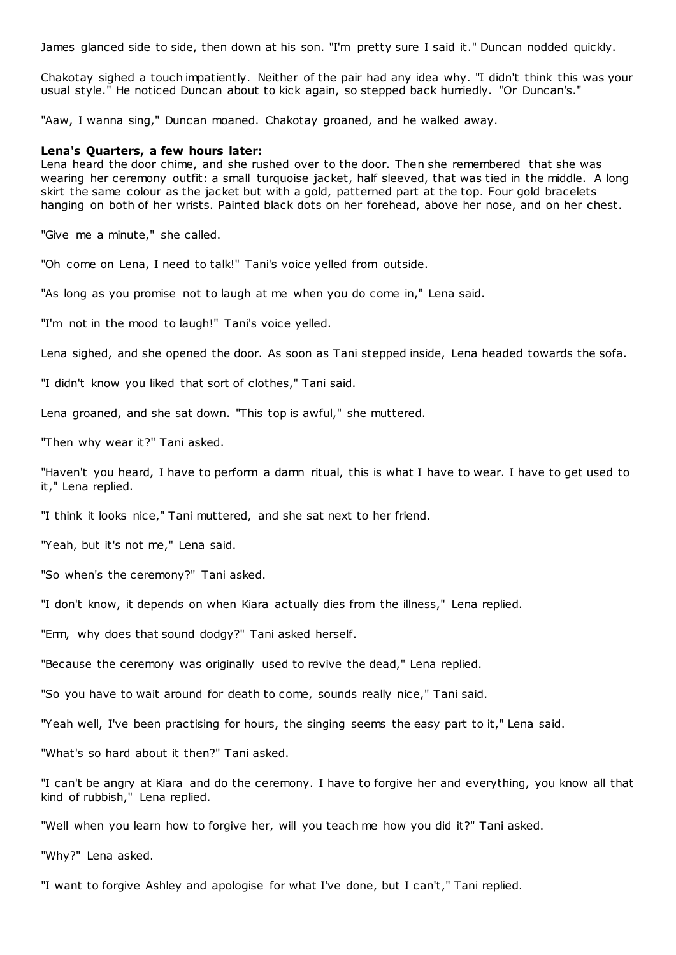James glanced side to side, then down at his son. "I'm pretty sure I said it." Duncan nodded quickly.

Chakotay sighed a touch impatiently. Neither of the pair had any idea why. "I didn't think this was your usual style." He noticed Duncan about to kick again, so stepped back hurriedly. "Or Duncan's."

"Aaw, I wanna sing," Duncan moaned. Chakotay groaned, and he walked away.

## **Lena's Quarters, a few hours later:**

Lena heard the door chime, and she rushed over to the door. Then she remembered that she was wearing her ceremony outfit: a small turquoise jacket, half sleeved, that was tied in the middle. A long skirt the same colour as the jacket but with a gold, patterned part at the top. Four gold bracelets hanging on both of her wrists. Painted black dots on her forehead, above her nose, and on her chest.

"Give me a minute," she called.

"Oh come on Lena, I need to talk!" Tani's voice yelled from outside.

"As long as you promise not to laugh at me when you do come in," Lena said.

"I'm not in the mood to laugh!" Tani's voice yelled.

Lena sighed, and she opened the door. As soon as Tani stepped inside, Lena headed towards the sofa.

"I didn't know you liked that sort of clothes," Tani said.

Lena groaned, and she sat down. "This top is awful," she muttered.

"Then why wear it?" Tani asked.

"Haven't you heard, I have to perform a damn ritual, this is what I have to wear. I have to get used to it," Lena replied.

"I think it looks nice," Tani muttered, and she sat next to her friend.

"Yeah, but it's not me," Lena said.

"So when's the ceremony?" Tani asked.

"I don't know, it depends on when Kiara actually dies from the illness," Lena replied.

"Erm, why does that sound dodgy?" Tani asked herself.

"Because the ceremony was originally used to revive the dead," Lena replied.

"So you have to wait around for death to come, sounds really nice," Tani said.

"Yeah well, I've been practising for hours, the singing seems the easy part to it," Lena said.

"What's so hard about it then?" Tani asked.

"I can't be angry at Kiara and do the ceremony. I have to forgive her and everything, you know all that kind of rubbish," Lena replied.

"Well when you learn how to forgive her, will you teach me how you did it?" Tani asked.

"Why?" Lena asked.

"I want to forgive Ashley and apologise for what I've done, but I can't," Tani replied.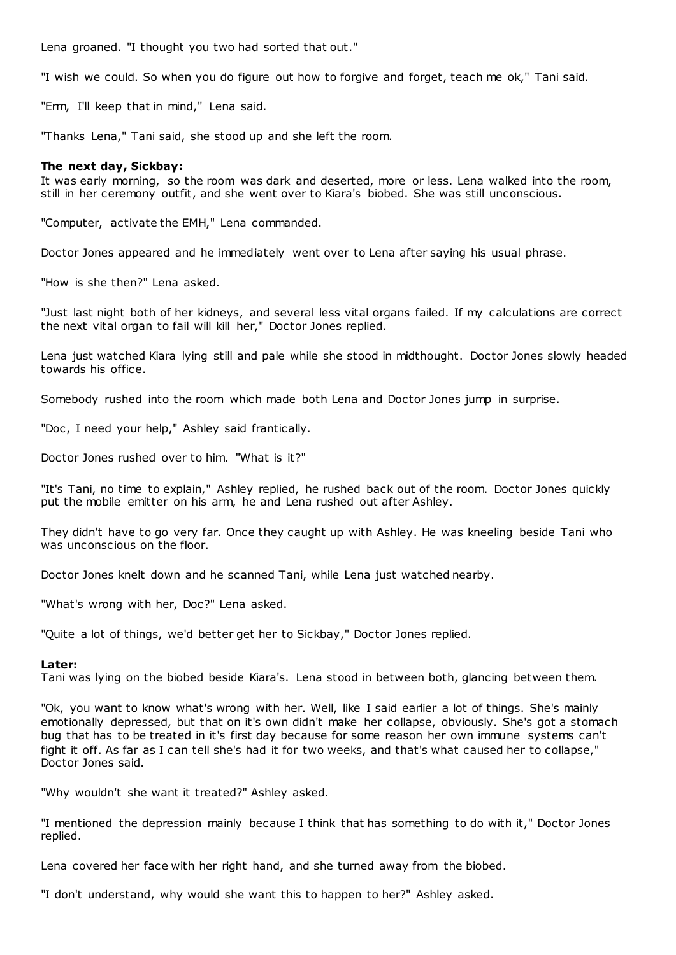Lena groaned. "I thought you two had sorted that out."

"I wish we could. So when you do figure out how to forgive and forget, teach me ok," Tani said.

"Erm, I'll keep that in mind," Lena said.

"Thanks Lena," Tani said, she stood up and she left the room.

# **The next day, Sickbay:**

It was early morning, so the room was dark and deserted, more or less. Lena walked into the room, still in her ceremony outfit, and she went over to Kiara's biobed. She was still unconscious.

"Computer, activate the EMH," Lena commanded.

Doctor Jones appeared and he immediately went over to Lena after saying his usual phrase.

"How is she then?" Lena asked.

"Just last night both of her kidneys, and several less vital organs failed. If my calculations are correct the next vital organ to fail will kill her," Doctor Jones replied.

Lena just watched Kiara lying still and pale while she stood in midthought. Doctor Jones slowly headed towards his office.

Somebody rushed into the room which made both Lena and Doctor Jones jump in surprise.

"Doc, I need your help," Ashley said frantically.

Doctor Jones rushed over to him. "What is it?"

"It's Tani, no time to explain," Ashley replied, he rushed back out of the room. Doctor Jones quickly put the mobile emitter on his arm, he and Lena rushed out after Ashley.

They didn't have to go very far. Once they caught up with Ashley. He was kneeling beside Tani who was unconscious on the floor.

Doctor Jones knelt down and he scanned Tani, while Lena just watched nearby.

"What's wrong with her, Doc?" Lena asked.

"Quite a lot of things, we'd better get her to Sickbay," Doctor Jones replied.

# **Later:**

Tani was lying on the biobed beside Kiara's. Lena stood in between both, glancing between them.

"Ok, you want to know what's wrong with her. Well, like I said earlier a lot of things. She's mainly emotionally depressed, but that on it's own didn't make her collapse, obviously. She's got a stomach bug that has to be treated in it's first day because for some reason her own immune systems can't fight it off. As far as I can tell she's had it for two weeks, and that's what caused her to collapse," Doctor Jones said.

"Why wouldn't she want it treated?" Ashley asked.

"I mentioned the depression mainly because I think that has something to do with it," Doctor Jones replied.

Lena covered her face with her right hand, and she turned away from the biobed.

"I don't understand, why would she want this to happen to her?" Ashley asked.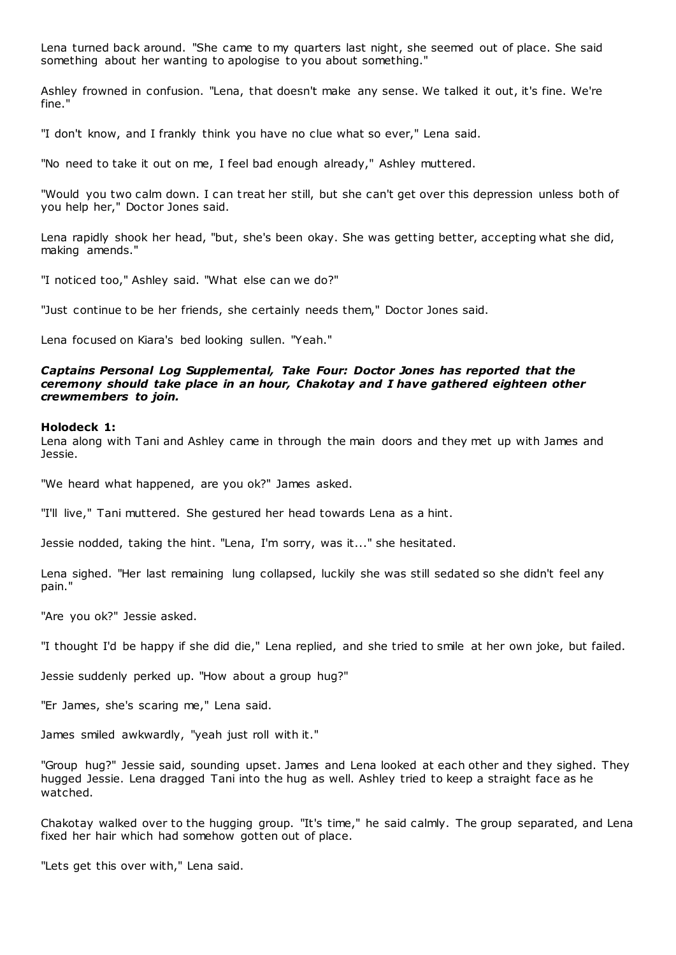Lena turned back around. "She came to my quarters last night, she seemed out of place. She said something about her wanting to apologise to you about something."

Ashley frowned in confusion. "Lena, that doesn't make any sense. We talked it out, it's fine. We're fine."

"I don't know, and I frankly think you have no clue what so ever," Lena said.

"No need to take it out on me, I feel bad enough already," Ashley muttered.

"Would you two calm down. I can t reat her still, but she can't get over this depression unless both of you help her," Doctor Jones said.

Lena rapidly shook her head, "but, she's been okay. She was getting better, accepting what she did, making amends."

"I noticed too," Ashley said. "What else can we do?"

"Just continue to be her friends, she certainly needs them," Doctor Jones said.

Lena focused on Kiara's bed looking sullen. "Yeah."

# *Captains Personal Log Supplemental, Take Four: Doctor Jones has reported that the ceremony should take place in an hour, Chakotay and I have gathered eighteen other crewmembers to join.*

## **Holodeck 1:**

Lena along with Tani and Ashley came in through the main doors and they met up with James and Jessie.

"We heard what happened, are you ok?" James asked.

"I'll live," Tani muttered. She gestured her head towards Lena as a hint.

Jessie nodded, taking the hint. "Lena, I'm sorry, was it..." she hesitated.

Lena sighed. "Her last remaining lung collapsed, luckily she was still sedated so she didn't feel any pain."

"Are you ok?" Jessie asked.

"I thought I'd be happy if she did die," Lena replied, and she tried to smile at her own joke, but failed.

Jessie suddenly perked up. "How about a group hug?"

"Er James, she's scaring me," Lena said.

James smiled awkwardly, "yeah just roll with it."

"Group hug?" Jessie said, sounding upset. James and Lena looked at each other and they sighed. They hugged Jessie. Lena dragged Tani into the hug as well. Ashley tried to keep a straight face as he watched.

Chakotay walked over to the hugging group. "It's time," he said calmly. The group separated, and Lena fixed her hair which had somehow gotten out of place.

"Lets get this over with," Lena said.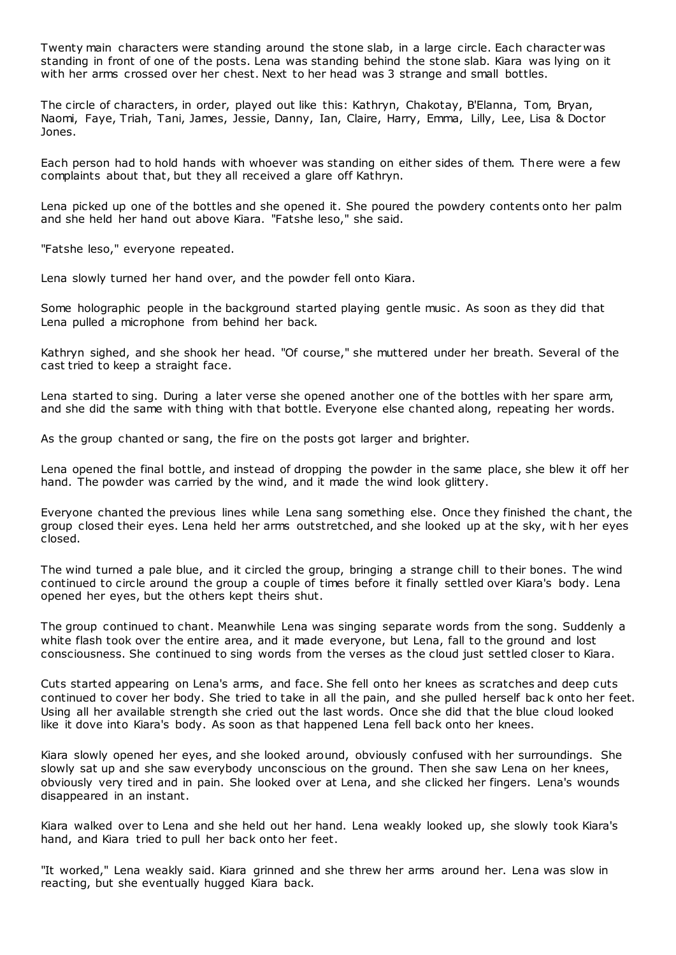Twenty main characters were standing around the stone slab, in a large circle. Each character was standing in front of one of the posts. Lena was standing behind the stone slab. Kiara was lying on it with her arms crossed over her chest. Next to her head was 3 strange and small bottles.

The circle of characters, in order, played out like this: Kathryn, Chakotay, B'Elanna, Tom, Bryan, Naomi, Faye, Triah, Tani, James, Jessie, Danny, Ian, Claire, Harry, Emma, Lilly, Lee, Lisa & Doctor Jones.

Each person had to hold hands with whoever was standing on either sides of them. There were a few complaints about that, but they all received a glare off Kathryn.

Lena picked up one of the bottles and she opened it. She poured the powdery contents onto her palm and she held her hand out above Kiara. "Fatshe leso," she said.

"Fatshe leso," everyone repeated.

Lena slowly turned her hand over, and the powder fell onto Kiara.

Some holographic people in the background started playing gentle music . As soon as they did that Lena pulled a microphone from behind her back.

Kathryn sighed, and she shook her head. "Of course," she muttered under her breath. Several of the cast tried to keep a straight face.

Lena started to sing. During a later verse she opened another one of the bottles with her spare arm, and she did the same with thing with that bottle. Everyone else chanted along, repeating her words.

As the group chanted or sang, the fire on the posts got larger and brighter.

Lena opened the final bottle, and instead of dropping the powder in the same place, she blew it off her hand. The powder was carried by the wind, and it made the wind look glittery.

Everyone chanted the previous lines while Lena sang something else. Once they finished the chant, the group closed their eyes. Lena held her arms outstretched, and she looked up at the sky, wit h her eyes closed.

The wind turned a pale blue, and it circled the group, bringing a strange chill to their bones. The wind continued to circle around the group a couple of times before it finally settled over Kiara's body. Lena opened her eyes, but the others kept theirs shut.

The group continued to chant. Meanwhile Lena was singing separate words from the song. Suddenly a white flash took over the entire area, and it made everyone, but Lena, fall to the ground and lost consciousness. She continued to sing words from the verses as the cloud just settled closer to Kiara.

Cuts started appearing on Lena's arms, and face. She fell onto her knees as scratches and deep cuts continued to cover her body. She tried to take in all the pain, and she pulled herself bac k onto her feet. Using all her available strength she cried out the last words. Once she did that the blue cloud looked like it dove into Kiara's body. As soon as that happened Lena fell back onto her knees.

Kiara slowly opened her eyes, and she looked around, obviously confused with her surroundings. She slowly sat up and she saw everybody unconscious on the ground. Then she saw Lena on her knees, obviously very tired and in pain. She looked over at Lena, and she clicked her fingers. Lena's wounds disappeared in an instant.

Kiara walked over to Lena and she held out her hand. Lena weakly looked up, she slowly took Kiara's hand, and Kiara tried to pull her back onto her feet.

"It worked," Lena weakly said. Kiara grinned and she threw her arms around her. Lena was slow in reacting, but she eventually hugged Kiara back.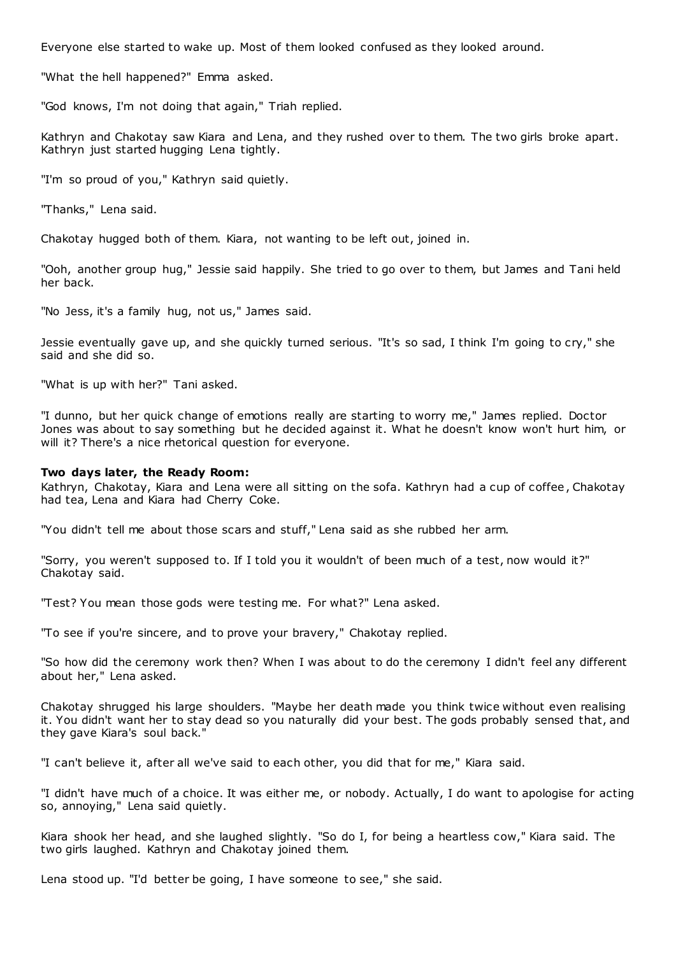Everyone else started to wake up. Most of them looked confused as they looked around.

"What the hell happened?" Emma asked.

"God knows, I'm not doing that again," Triah replied.

Kathryn and Chakotay saw Kiara and Lena, and they rushed over to them. The two girls broke apart. Kathryn just started hugging Lena tightly.

"I'm so proud of you," Kathryn said quietly.

"Thanks," Lena said.

Chakotay hugged both of them. Kiara, not wanting to be left out, joined in.

"Ooh, another group hug," Jessie said happily. She tried to go over to them, but James and Tani held her back.

"No Jess, it's a family hug, not us," James said.

Jessie eventually gave up, and she quickly turned serious. "It's so sad, I think I'm going to cry," she said and she did so.

"What is up with her?" Tani asked.

"I dunno, but her quick change of emotions really are starting to worry me," James replied. Doctor Jones was about to say something but he decided against it. What he doesn't know won't hurt him, or will it? There's a nice rhetorical question for everyone.

# **Two days later, the Ready Room:**

Kathryn, Chakotay, Kiara and Lena were all sitting on the sofa. Kathryn had a cup of coffee, Chakotay had tea, Lena and Kiara had Cherry Coke.

"You didn't tell me about those scars and stuff," Lena said as she rubbed her arm.

"Sorry, you weren't supposed to. If I told you it wouldn't of been much of a test, now would it?" Chakotay said.

"Test? You mean those gods were testing me. For what?" Lena asked.

"To see if you're sincere, and to prove your bravery," Chakotay replied.

"So how did the ceremony work then? When I was about to do the ceremony I didn't feel any different about her," Lena asked.

Chakotay shrugged his large shoulders. "Maybe her death made you think twice without even realising it. You didn't want her to stay dead so you naturally did your best. The gods probably sensed that, and they gave Kiara's soul back."

"I can't believe it, after all we've said to each other, you did that for me," Kiara said.

"I didn't have much of a choice. It was either me, or nobody. Actually, I do want to apologise for acting so, annoying," Lena said quietly.

Kiara shook her head, and she laughed slightly. "So do I, for being a heartless cow," Kiara said. The two girls laughed. Kathryn and Chakotay joined them.

Lena stood up. "I'd better be going, I have someone to see," she said.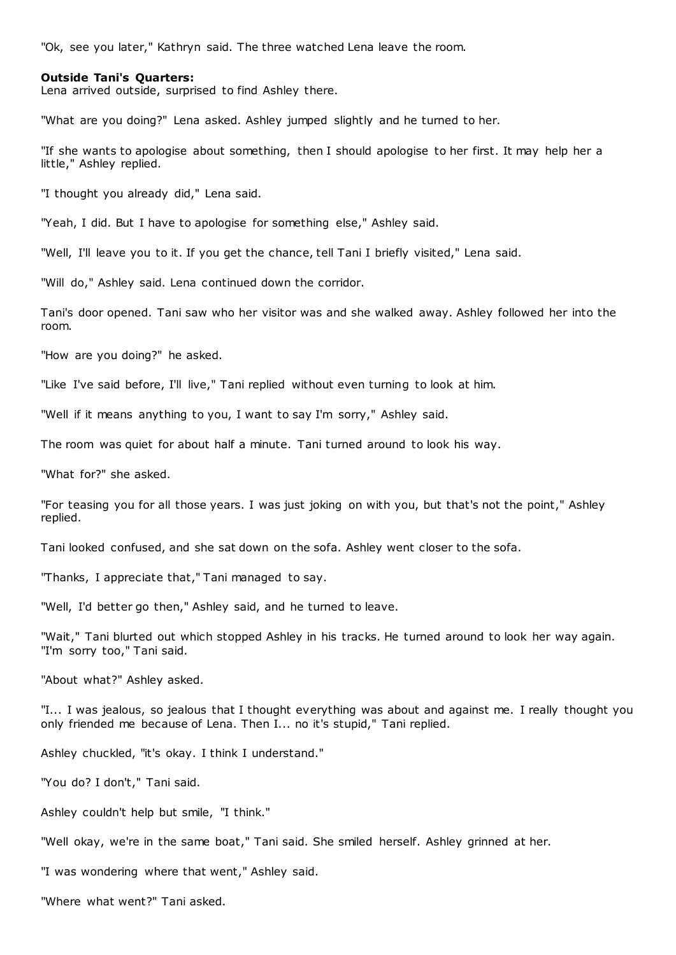"Ok, see you later," Kathryn said. The three watched Lena leave the room.

## **Outside Tani's Quarters:**

Lena arrived outside, surprised to find Ashley there.

"What are you doing?" Lena asked. Ashley jumped slightly and he turned to her.

"If she wants to apologise about something, then I should apologise to her first. It may help her a little," Ashley replied.

"I thought you already did," Lena said.

"Yeah, I did. But I have to apologise for something else," Ashley said.

"Well, I'll leave you to it. If you get the chance, tell Tani I briefly visited," Lena said.

"Will do," Ashley said. Lena continued down the corridor.

Tani's door opened. Tani saw who her visitor was and she walked away. Ashley followed her into the room.

"How are you doing?" he asked.

"Like I've said before, I'll live," Tani replied without even turning to look at him.

"Well if it means anything to you, I want to say I'm sorry," Ashley said.

The room was quiet for about half a minute. Tani turned around to look his way.

"What for?" she asked.

"For teasing you for all those years. I was just joking on with you, but that's not the point," Ashley replied.

Tani looked confused, and she sat down on the sofa. Ashley went closer to the sofa.

"Thanks, I appreciate that," Tani managed to say.

"Well, I'd better go then," Ashley said, and he turned to leave.

"Wait," Tani blurted out which stopped Ashley in his tracks. He turned around to look her way again. "I'm sorry too," Tani said.

"About what?" Ashley asked.

"I... I was jealous, so jealous that I thought everything was about and against me. I really thought you only friended me because of Lena. Then I... no it's stupid," Tani replied.

Ashley chuckled, "it's okay. I think I understand."

"You do? I don't," Tani said.

Ashley couldn't help but smile, "I think."

"Well okay, we're in the same boat," Tani said. She smiled herself. Ashley grinned at her.

"I was wondering where that went," Ashley said.

"Where what went?" Tani asked.